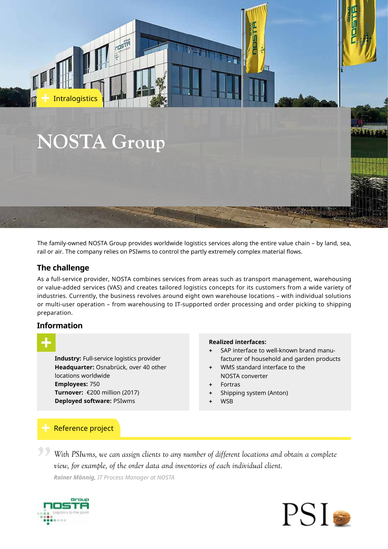

The family-owned NOSTA Group provides worldwide logistics services along the entire value chain – by land, sea, rail or air. The company relies on PSIwms to control the partly extremely complex material flows.

# **The challenge**

As a full-service provider, NOSTA combines services from areas such as transport management, warehousing or value-added services (VAS) and creates tailored logistics concepts for its customers from a wide variety of industries. Currently, the business revolves around eight own warehouse locations – with individual solutions or multi-user operation – from warehousing to IT-supported order processing and order picking to shipping preparation.

### **Information**

|     |   | <b>Contract Contract Contract Contract Contract Contract Contract Contract Contract Contract Contract Contract C</b> |  |
|-----|---|----------------------------------------------------------------------------------------------------------------------|--|
|     |   |                                                                                                                      |  |
| ___ |   |                                                                                                                      |  |
|     |   |                                                                                                                      |  |
|     | _ |                                                                                                                      |  |
|     |   |                                                                                                                      |  |
|     |   |                                                                                                                      |  |

**Industry:** Full-service logistics provider **Headquarter:** Osnabrück, over 40 other locations worldwide **Employees:** 750 **Turnover:** €200 million (2017) **Deployed software:** PSIwms

### **Realized interfaces:**

- **+** SAP interface to well-known brand manufacturer of household and garden products
- **+** WMS standard interface to the NOSTA converter
- **+** Fortras
- **+** Shipping system (Anton)
- **+** WSB

# Reference project

**"** *With PSIwms, we can assign clients to any number of different locations and obtain a complete view, for example, of the order data and inventories of each individual client. Rainer Mönnig, IT Process Manager at NOSTA*